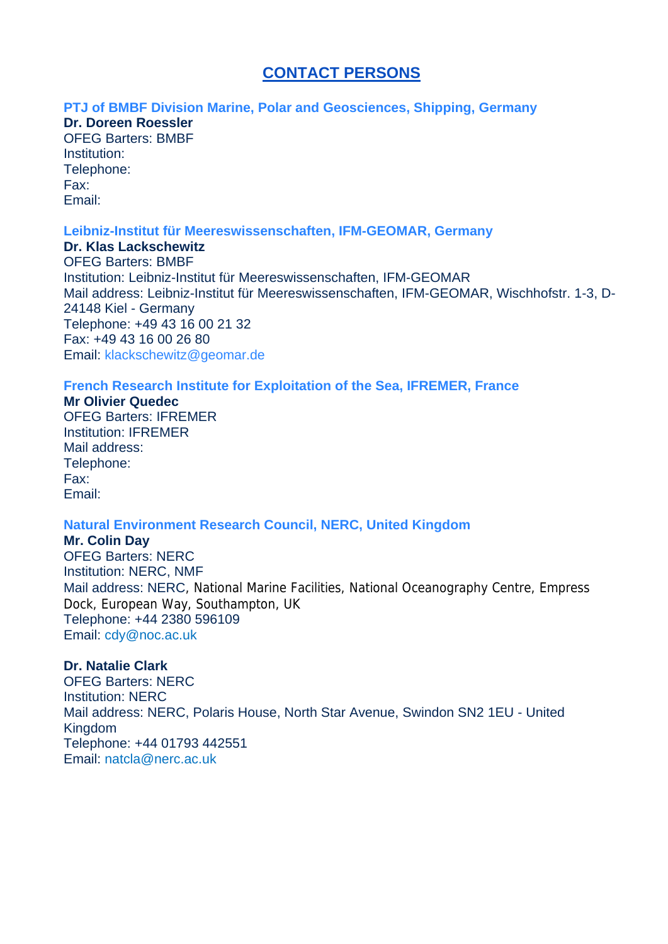# **CONTACT PERSONS**

### **PTJ of BMBF Division Marine, Polar and Geosciences, Shipping, Germany**

## **Dr. Doreen Roessler**

OFEG Barters: BMBF Institution: Telephone: Fax: Email:

### **Leibniz-Institut für Meereswissenschaften, IFM-GEOMAR, Germany**

**Dr. Klas Lackschewitz** OFEG Barters: BMBF Institution: Leibniz-Institut für Meereswissenschaften, IFM-GEOMAR Mail address: Leibniz-Institut für Meereswissenschaften, IFM-GEOMAR, Wischhofstr. 1-3, D-24148 Kiel - Germany Telephone: +49 43 16 00 21 32 Fax: +49 43 16 00 26 80 Email: klackschewitz@geomar.de

## **French Research Institute for Exploitation of the Sea, IFREMER, France**

**Mr Olivier Quedec** OFEG Barters: IFREMER Institution: IFREMER Mail address: Telephone: Fax: Email:

## **Natural Environment Research Council, NERC, United Kingdom**

## **Mr. Colin Day**

OFEG Barters: NERC Institution: NERC, NMF Mail address: NERC, National Marine Facilities, National Oceanography Centre, Empress Dock, European Way, Southampton, UK Telephone: +44 2380 596109 Email: cdy@noc.ac.uk

## **Dr. Natalie Clark**

OFEG Barters: NERC Institution: NERC Mail address: NERC, Polaris House, North Star Avenue, Swindon SN2 1EU - United Kingdom Telephone: +44 01793 442551 Email: natcla@nerc.ac.uk